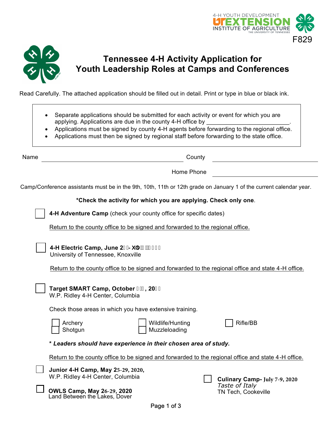



## **Tennessee 4-H Activity Application for Youth Leadership Roles at Camps and Conferences**

Read Carefully. The attached application should be filled out in detail. Print or type in blue or black ink.

- Separate applications should be submitted for each activity or event for which you are applying. Applications are due in the county 4-H office by
- Applications must be signed by county 4-H agents before forwarding to the regional office.
- Applications must then be signed by regional staff before forwarding to the state office.

Name County

Home Phone

Camp/Conference assistants must be in the 9th, 10th, 11th or 12th grade on January 1 of the current calendar year.

**\*Check the activity for which you are applying. Check only one**.

**4-H Adventure Camp** (check your county office for specific dates)

Return to the county office to be signed and forwarded to the regional office.

**4-H Electric Camp, June 2-!>i `m&Z&\$&\$** University of Tennessee, Knoxville

Return to the county office to be signed and forwarded to the regional office and state 4-H office.

| Target SMART Camp, October %(, 20&\$<br>W.P. Ridley 4-H Center, Columbia                            |                                       |
|-----------------------------------------------------------------------------------------------------|---------------------------------------|
| Check those areas in which you have extensive training.                                             |                                       |
| Wildlife/Hunting<br>Archery<br>Muzzleloading<br>Shotqun                                             | Rifle/BB                              |
| * Leaders should have experience in their chosen area of study.                                     |                                       |
| Return to the county office to be signed and forwarded to the regional office and state 4-H office. |                                       |
| Junior 4-H Camp, May 25-29, 2020,<br>W.P. Ridley 4-H Center, Columbia                               | Culinary Camp- July 7-9, 2020         |
| <b>OWLS Camp, May 26-29, 2020</b><br>Land Between the Lakes, Dover                                  | Taste of Italy<br>TN Tech, Cookeville |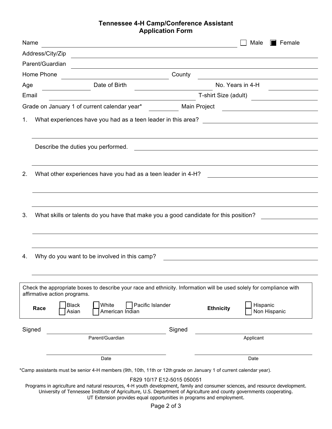## **Tennessee 4-H Camp/Conference Assistant Application Form**

| Name       |                                                                                                                                                                                                                                                       |                            |                      | Male<br>$\blacksquare$ Female                     |
|------------|-------------------------------------------------------------------------------------------------------------------------------------------------------------------------------------------------------------------------------------------------------|----------------------------|----------------------|---------------------------------------------------|
|            | Address/City/Zip<br><u> 1989 - Johann Stoff, deutscher Stoffen und der Stoffen und der Stoffen und der Stoffen und der Stoffen und der</u>                                                                                                            |                            |                      |                                                   |
|            | Parent/Guardian                                                                                                                                                                                                                                       |                            |                      |                                                   |
| Home Phone |                                                                                                                                                                                                                                                       | County                     |                      |                                                   |
| Age        | Date of Birth                                                                                                                                                                                                                                         |                            | No. Years in 4-H     |                                                   |
| Email      |                                                                                                                                                                                                                                                       |                            | T-shirt Size (adult) |                                                   |
|            | Grade on January 1 of current calendar year*                                                                                                                                                                                                          | Main Project               |                      | <u> 1989 - Andrea Brand, amerikansk politik (</u> |
| 1.         |                                                                                                                                                                                                                                                       |                            |                      |                                                   |
|            | Describe the duties you performed.                                                                                                                                                                                                                    |                            |                      |                                                   |
| 2.         | What other experiences have you had as a teen leader in 4-H?                                                                                                                                                                                          |                            |                      |                                                   |
| 3.         | What skills or talents do you have that make you a good candidate for this position?                                                                                                                                                                  |                            |                      |                                                   |
|            |                                                                                                                                                                                                                                                       |                            |                      |                                                   |
| 4.         | Why do you want to be involved in this camp?                                                                                                                                                                                                          |                            |                      |                                                   |
|            | Check the appropriate boxes to describe your race and ethnicity. Information will be used solely for compliance with<br>affirmative action programs.                                                                                                  |                            |                      |                                                   |
| Race       | White<br>Pacific Islander<br><b>Black</b><br>Asian<br>American Indian                                                                                                                                                                                 |                            | <b>Ethnicity</b>     | Hispanic<br>Non Hispanic                          |
| Signed     |                                                                                                                                                                                                                                                       | Signed                     |                      |                                                   |
|            | Parent/Guardian                                                                                                                                                                                                                                       |                            |                      | Applicant                                         |
|            | Date                                                                                                                                                                                                                                                  |                            |                      | Date                                              |
|            | *Camp assistants must be senior 4-H members (9th, 10th, 11th or 12th grade on January 1 of current calendar year).                                                                                                                                    |                            |                      |                                                   |
|            | Programs in agriculture and natural resources, 4-H youth development, family and consumer sciences, and resource development.<br>University of Tennessee Institute of Agriculture, U.S. Department of Agriculture and county governments cooperating. | F829 10/17 E12-5015 050051 |                      |                                                   |

UT Extension provides equal opportunities in programs and employment.